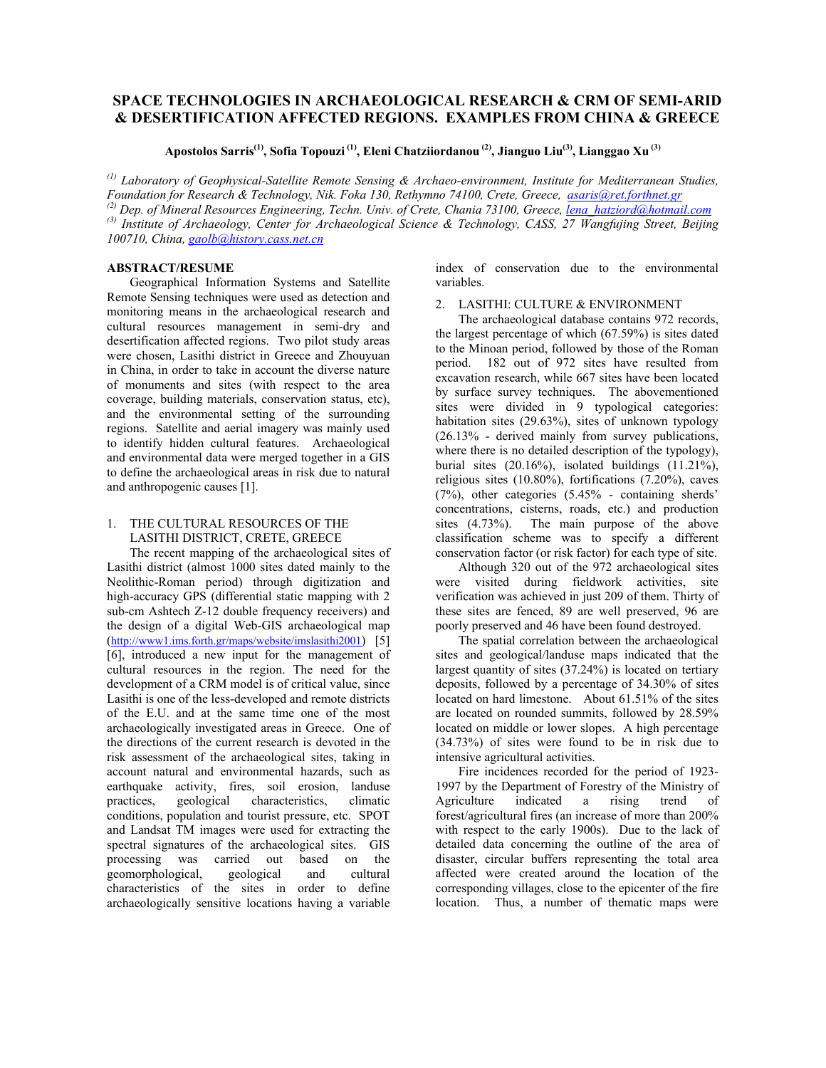# **SPACE TECHNOLOGIES IN ARCHAEOLOGICAL RESEARCH & CRM OF SEMI-ARID & DESERTIFICATION AFFECTED REGIONS. EXAMPLES FROM CHINA & GREECE**

**Apostolos Sarris(1), Sofia Topouzi (1), Eleni Chatziiordanou (2), Jianguo Liu(3), Lianggao Xu (3)**

*(1) Laboratory of Geophysical-Satellite Remote Sensing & Archaeo-environment, Institute for Mediterranean Studies, Foundation for Research & Technology, Nik. Foka 130, Rethymno 74100, Crete, Greece, asaris@ret.forthnet.gr (2) Dep. of Mineral Resources Engineering, Techn. Univ. of Crete, Chania 73100, Greece, lena\_hatziord@hotmail.com (3) Institute of Archaeology, Center for Archaeological Science & Technology, CASS, 27 Wangfujing Street, Beijing 100710, China, gaolb@history.cass.net.cn*

# **ABSTRACT/RESUME**

Geographical Information Systems and Satellite Remote Sensing techniques were used as detection and monitoring means in the archaeological research and cultural resources management in semi-dry and desertification affected regions. Two pilot study areas were chosen, Lasithi district in Greece and Zhouyuan in China, in order to take in account the diverse nature of monuments and sites (with respect to the area coverage, building materials, conservation status, etc), and the environmental setting of the surrounding regions. Satellite and aerial imagery was mainly used to identify hidden cultural features. Archaeological and environmental data were merged together in a GIS to define the archaeological areas in risk due to natural and anthropogenic causes [1].

# 1. THE CULTURAL RESOURCES OF THE LASITHI DISTRICT, CRETE, GREECE

The recent mapping of the archaeological sites of Lasithi district (almost 1000 sites dated mainly to the Neolithic-Roman period) through digitization and high-accuracy GPS (differential static mapping with 2 sub-cm Ashtech Z-12 double frequency receivers) and the design of a digital Web-GIS archaeological map (http://www1.ims.forth.gr/maps/website/imslasithi2001) [5] [6], introduced a new input for the management of cultural resources in the region. The need for the development of a CRM model is of critical value, since Lasithi is one of the less-developed and remote districts of the E.U. and at the same time one of the most archaeologically investigated areas in Greece. One of the directions of the current research is devoted in the risk assessment of the archaeological sites, taking in account natural and environmental hazards, such as earthquake activity, fires, soil erosion, landuse practices, geological characteristics, climatic conditions, population and tourist pressure, etc. SPOT and Landsat TM images were used for extracting the spectral signatures of the archaeological sites. GIS processing was carried out based on the geomorphological, geological and cultural characteristics of the sites in order to define archaeologically sensitive locations having a variable index of conservation due to the environmental variables.

## 2. LASITHI: CULTURE & ENVIRONMENT

The archaeological database contains 972 records, the largest percentage of which (67.59%) is sites dated to the Minoan period, followed by those of the Roman period. 182 out of 972 sites have resulted from excavation research, while 667 sites have been located by surface survey techniques. The abovementioned sites were divided in 9 typological categories: habitation sites (29.63%), sites of unknown typology (26.13% - derived mainly from survey publications, where there is no detailed description of the typology), burial sites (20.16%), isolated buildings (11.21%), religious sites (10.80%), fortifications (7.20%), caves (7%), other categories (5.45% - containing sherds' concentrations, cisterns, roads, etc.) and production sites (4.73%). The main purpose of the above classification scheme was to specify a different conservation factor (or risk factor) for each type of site.

Although 320 out of the 972 archaeological sites were visited during fieldwork activities, site verification was achieved in just 209 of them. Thirty of these sites are fenced, 89 are well preserved, 96 are poorly preserved and 46 have been found destroyed.

The spatial correlation between the archaeological sites and geological/landuse maps indicated that the largest quantity of sites (37.24%) is located on tertiary deposits, followed by a percentage of 34.30% of sites located on hard limestone. About 61.51% of the sites are located on rounded summits, followed by 28.59% located on middle or lower slopes. A high percentage (34.73%) of sites were found to be in risk due to intensive agricultural activities.

Fire incidences recorded for the period of 1923- 1997 by the Department of Forestry of the Ministry of Agriculture indicated a rising trend of forest/agricultural fires (an increase of more than 200% with respect to the early 1900s). Due to the lack of detailed data concerning the outline of the area of disaster, circular buffers representing the total area affected were created around the location of the corresponding villages, close to the epicenter of the fire location. Thus, a number of thematic maps were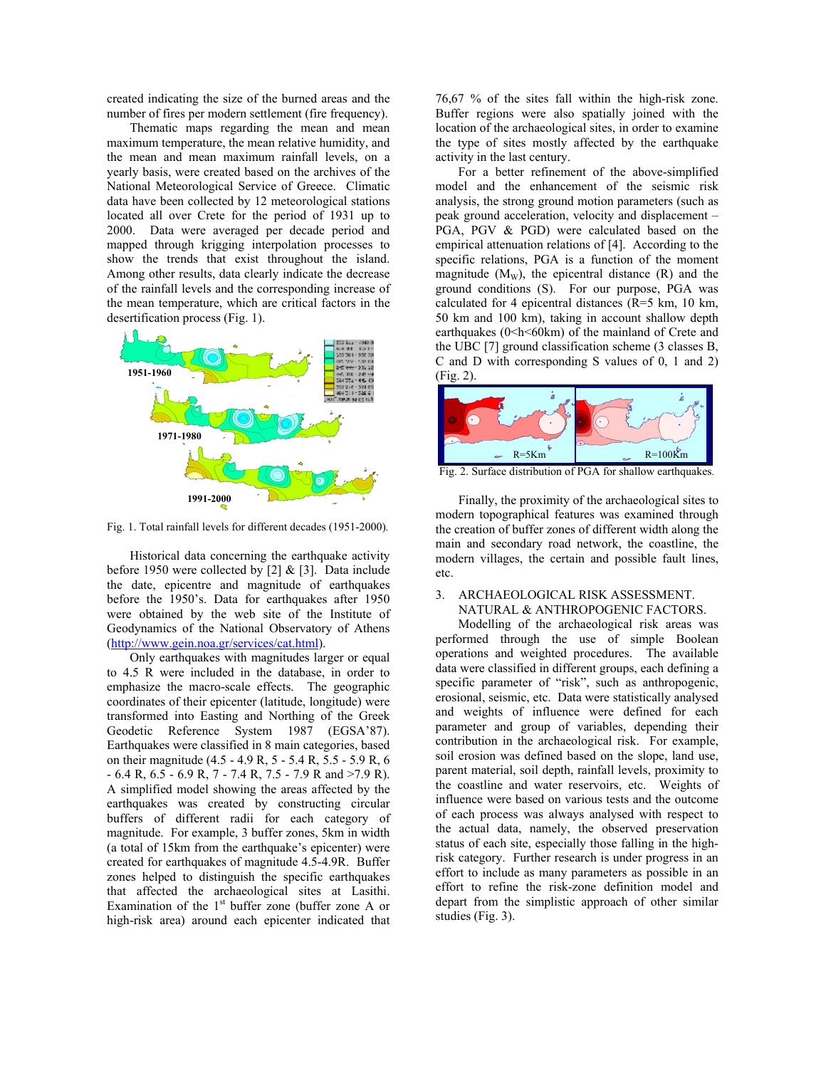created indicating the size of the burned areas and the number of fires per modern settlement (fire frequency).

Thematic maps regarding the mean and mean maximum temperature, the mean relative humidity, and the mean and mean maximum rainfall levels, on a yearly basis, were created based on the archives of the National Meteorological Service of Greece. Climatic data have been collected by 12 meteorological stations located all over Crete for the period of 1931 up to 2000. Data were averaged per decade period and mapped through krigging interpolation processes to show the trends that exist throughout the island. Among other results, data clearly indicate the decrease of the rainfall levels and the corresponding increase of the mean temperature, which are critical factors in the desertification process (Fig. 1).



Fig. 1. Total rainfall levels for different decades (1951-2000)*.* 

Historical data concerning the earthquake activity before 1950 were collected by  $[2]$  &  $[3]$ . Data include the date, epicentre and magnitude of earthquakes before the 1950's. Data for earthquakes after 1950 were obtained by the web site of the Institute of Geodynamics of the National Observatory of Athens (http://www.gein.noa.gr/services/cat.html).

Only earthquakes with magnitudes larger or equal to 4.5 R were included in the database, in order to emphasize the macro-scale effects. The geographic coordinates of their epicenter (latitude, longitude) were transformed into Easting and Northing of the Greek Geodetic Reference System 1987 (EGSA'87). Earthquakes were classified in 8 main categories, based on their magnitude (4.5 - 4.9 R, 5 - 5.4 R, 5.5 - 5.9 R, 6 - 6.4 R, 6.5 - 6.9 R, 7 - 7.4 R, 7.5 - 7.9 R and >7.9 R). A simplified model showing the areas affected by the earthquakes was created by constructing circular buffers of different radii for each category of magnitude. For example, 3 buffer zones, 5km in width (a total of 15km from the earthquake's epicenter) were created for earthquakes of magnitude 4.5-4.9R. Buffer zones helped to distinguish the specific earthquakes that affected the archaeological sites at Lasithi. Examination of the  $1<sup>st</sup>$  buffer zone (buffer zone A or high-risk area) around each epicenter indicated that

76,67 % of the sites fall within the high-risk zone. Buffer regions were also spatially joined with the location of the archaeological sites, in order to examine the type of sites mostly affected by the earthquake activity in the last century.

For a better refinement of the above-simplified model and the enhancement of the seismic risk analysis, the strong ground motion parameters (such as peak ground acceleration, velocity and displacement – PGA, PGV & PGD) were calculated based on the empirical attenuation relations of [4]. According to the specific relations, PGA is a function of the moment magnitude  $(M_w)$ , the epicentral distance  $(R)$  and the ground conditions (S). For our purpose, PGA was calculated for 4 epicentral distances (R=5 km, 10 km, 50 km and 100 km), taking in account shallow depth earthquakes (0<h<60km) of the mainland of Crete and the UBC [7] ground classification scheme (3 classes B, C and D with corresponding S values of 0, 1 and 2) (Fig. 2).



Fig. 2. Surface distribution of PGA for shallow earthquakes*.* 

Finally, the proximity of the archaeological sites to modern topographical features was examined through the creation of buffer zones of different width along the main and secondary road network, the coastline, the modern villages, the certain and possible fault lines, etc.

## 3. ARCHAEOLOGICAL RISK ASSESSMENT. NATURAL & ANTHROPOGENIC FACTORS.

 Modelling of the archaeological risk areas was performed through the use of simple Boolean operations and weighted procedures. The available data were classified in different groups, each defining a specific parameter of "risk", such as anthropogenic, erosional, seismic, etc. Data were statistically analysed and weights of influence were defined for each parameter and group of variables, depending their contribution in the archaeological risk. For example, soil erosion was defined based on the slope, land use, parent material, soil depth, rainfall levels, proximity to the coastline and water reservoirs, etc. Weights of influence were based on various tests and the outcome of each process was always analysed with respect to the actual data, namely, the observed preservation status of each site, especially those falling in the highrisk category. Further research is under progress in an effort to include as many parameters as possible in an effort to refine the risk-zone definition model and depart from the simplistic approach of other similar studies (Fig. 3).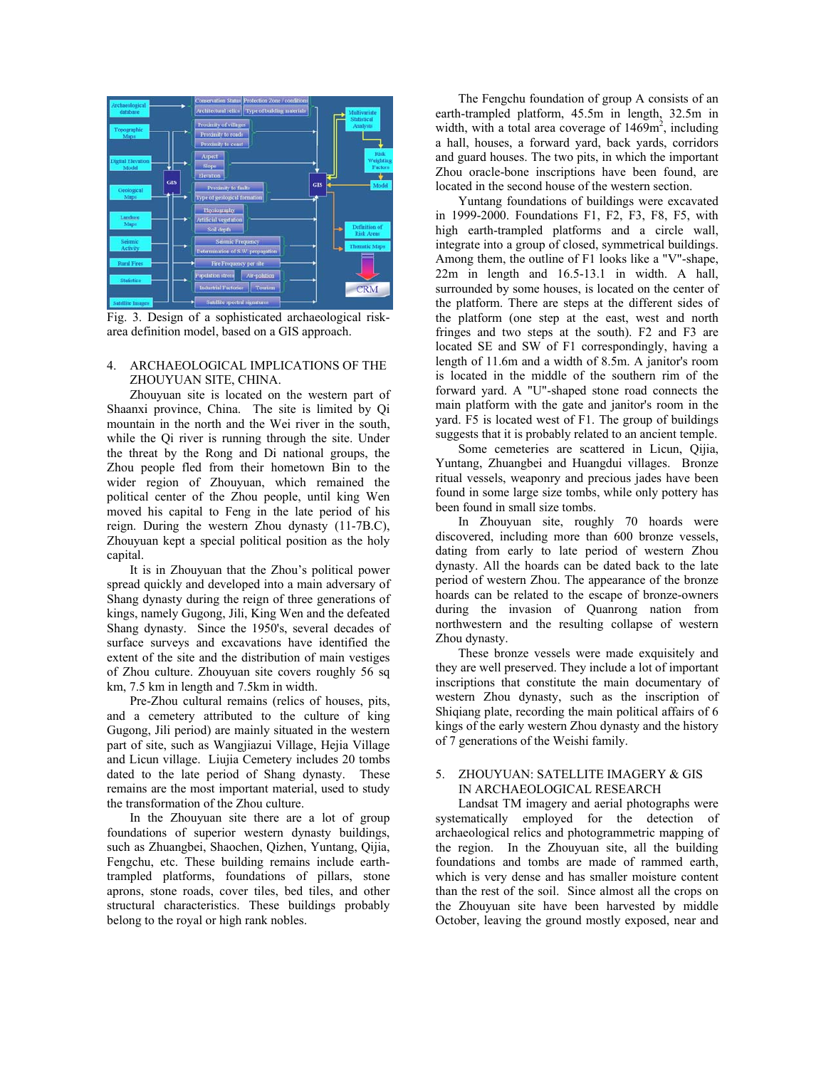

Fig. 3. Design of a sophisticated archaeological riskarea definition model, based on a GIS approach.

## 4. ARCHAEOLOGICAL IMPLICATIONS OF THE ZHOUYUAN SITE, CHINA.

Zhouyuan site is located on the western part of Shaanxi province, China. The site is limited by Qi mountain in the north and the Wei river in the south, while the Qi river is running through the site. Under the threat by the Rong and Di national groups, the Zhou people fled from their hometown Bin to the wider region of Zhouyuan, which remained the political center of the Zhou people, until king Wen moved his capital to Feng in the late period of his reign. During the western Zhou dynasty (11-7B.C), Zhouyuan kept a special political position as the holy capital.

It is in Zhouyuan that the Zhou's political power spread quickly and developed into a main adversary of Shang dynasty during the reign of three generations of kings, namely Gugong, Jili, King Wen and the defeated Shang dynasty. Since the 1950's, several decades of surface surveys and excavations have identified the extent of the site and the distribution of main vestiges of Zhou culture. Zhouyuan site covers roughly 56 sq km, 7.5 km in length and 7.5km in width.

Pre-Zhou cultural remains (relics of houses, pits, and a cemetery attributed to the culture of king Gugong, Jili period) are mainly situated in the western part of site, such as Wangjiazui Village, Hejia Village and Licun village. Liujia Cemetery includes 20 tombs dated to the late period of Shang dynasty. These remains are the most important material, used to study the transformation of the Zhou culture.

In the Zhouyuan site there are a lot of group foundations of superior western dynasty buildings, such as Zhuangbei, Shaochen, Qizhen, Yuntang, Qijia, Fengchu, etc. These building remains include earthtrampled platforms, foundations of pillars, stone aprons, stone roads, cover tiles, bed tiles, and other structural characteristics. These buildings probably belong to the royal or high rank nobles.

The Fengchu foundation of group A consists of an earth-trampled platform, 45.5m in length, 32.5m in width, with a total area coverage of  $1469m^2$ , including a hall, houses, a forward yard, back yards, corridors and guard houses. The two pits, in which the important Zhou oracle-bone inscriptions have been found, are located in the second house of the western section.

Yuntang foundations of buildings were excavated in 1999-2000. Foundations F1, F2, F3, F8, F5, with high earth-trampled platforms and a circle wall, integrate into a group of closed, symmetrical buildings. Among them, the outline of F1 looks like a "V"-shape, 22m in length and 16.5-13.1 in width. A hall, surrounded by some houses, is located on the center of the platform. There are steps at the different sides of the platform (one step at the east, west and north fringes and two steps at the south). F2 and F3 are located SE and SW of F1 correspondingly, having a length of 11.6m and a width of 8.5m. A janitor's room is located in the middle of the southern rim of the forward yard. A "U"-shaped stone road connects the main platform with the gate and janitor's room in the yard. F5 is located west of F1. The group of buildings suggests that it is probably related to an ancient temple.

 Some cemeteries are scattered in Licun, Qijia, Yuntang, Zhuangbei and Huangdui villages. Bronze ritual vessels, weaponry and precious jades have been found in some large size tombs, while only pottery has been found in small size tombs.

In Zhouyuan site, roughly 70 hoards were discovered, including more than 600 bronze vessels, dating from early to late period of western Zhou dynasty. All the hoards can be dated back to the late period of western Zhou. The appearance of the bronze hoards can be related to the escape of bronze-owners during the invasion of Quanrong nation from northwestern and the resulting collapse of western Zhou dynasty.

 These bronze vessels were made exquisitely and they are well preserved. They include a lot of important inscriptions that constitute the main documentary of western Zhou dynasty, such as the inscription of Shiqiang plate, recording the main political affairs of 6 kings of the early western Zhou dynasty and the history of 7 generations of the Weishi family.

## 5. ZHOUYUAN: SATELLITE IMAGERY & GIS IN ARCHAEOLOGICAL RESEARCH

 Landsat TM imagery and aerial photographs were systematically employed for the detection of archaeological relics and photogrammetric mapping of the region. In the Zhouyuan site, all the building foundations and tombs are made of rammed earth, which is very dense and has smaller moisture content than the rest of the soil. Since almost all the crops on the Zhouyuan site have been harvested by middle October, leaving the ground mostly exposed, near and